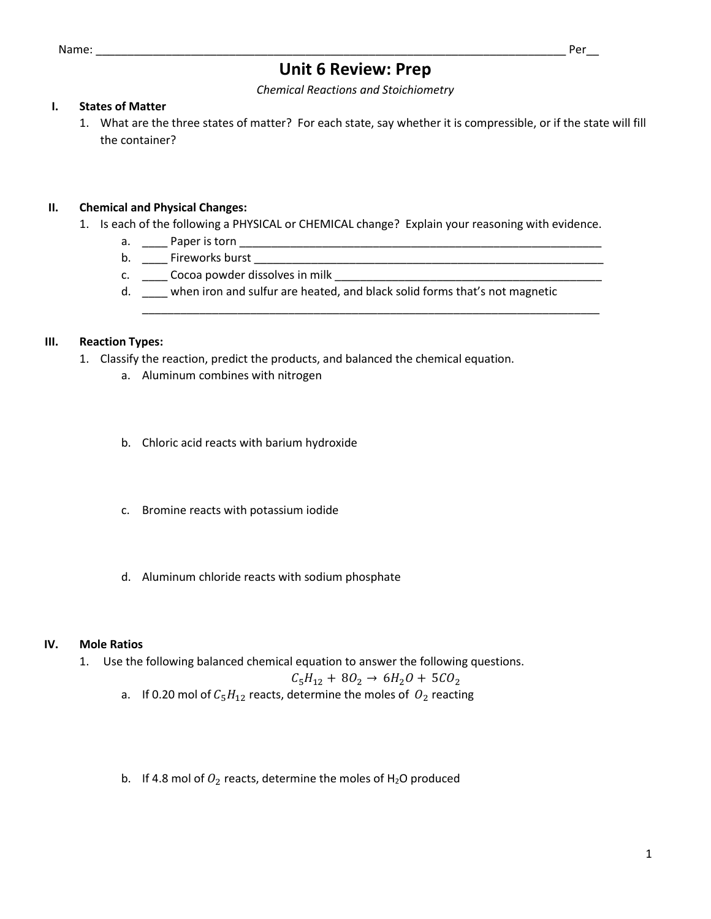# **Unit 6 Review: Prep**

*Chemical Reactions and Stoichiometry*

## **I. States of Matter**

1. What are the three states of matter? For each state, say whether it is compressible, or if the state will fill the container?

## **II. Chemical and Physical Changes:**

- 1. Is each of the following a PHYSICAL or CHEMICAL change? Explain your reasoning with evidence.
	- a. \_\_\_\_ Paper is torn \_\_\_\_\_\_\_\_\_\_\_\_\_\_\_\_\_\_\_\_\_\_\_\_\_\_\_\_\_\_\_\_\_\_\_\_\_\_\_\_\_\_\_\_\_\_\_\_\_\_\_\_\_\_\_\_\_
	- b. \_\_\_\_ Fireworks burst \_\_\_\_\_\_\_\_\_\_\_\_\_\_\_\_\_\_\_\_\_\_\_\_\_\_\_\_\_\_\_\_\_\_\_\_\_\_\_\_\_\_\_\_\_\_\_\_\_\_\_\_\_\_\_
	- c. \_\_\_\_ Cocoa powder dissolves in milk \_\_\_\_\_\_\_\_\_\_\_\_\_\_\_\_\_\_\_\_\_\_\_\_\_\_\_\_\_\_\_\_\_\_\_\_\_\_\_\_\_\_
	- d. \_\_\_\_ when iron and sulfur are heated, and black solid forms that's not magnetic

\_\_\_\_\_\_\_\_\_\_\_\_\_\_\_\_\_\_\_\_\_\_\_\_\_\_\_\_\_\_\_\_\_\_\_\_\_\_\_\_\_\_\_\_\_\_\_\_\_\_\_\_\_\_\_\_\_\_\_\_\_\_\_\_\_\_\_\_\_\_\_\_

## **III. Reaction Types:**

- 1. Classify the reaction, predict the products, and balanced the chemical equation.
	- a. Aluminum combines with nitrogen
	- b. Chloric acid reacts with barium hydroxide
	- c. Bromine reacts with potassium iodide
	- d. Aluminum chloride reacts with sodium phosphate

## **IV. Mole Ratios**

1. Use the following balanced chemical equation to answer the following questions.

$$
C_5H_{12} + 8O_2 \rightarrow 6H_2O + 5CO_2
$$

- a. If 0.20 mol of  $C_5H_{12}$  reacts, determine the moles of  $O_2$  reacting
- b. If 4.8 mol of  $O_2$  reacts, determine the moles of H<sub>2</sub>O produced